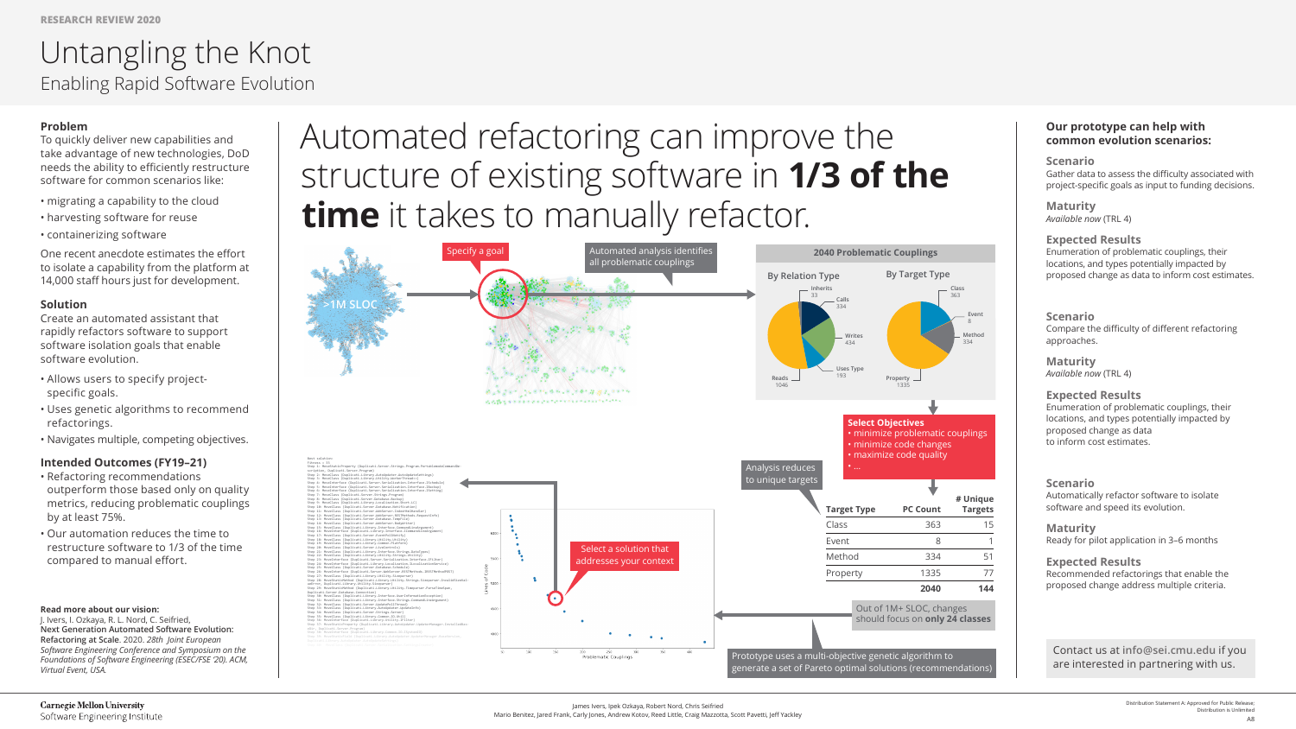# Automated refactoring can improve the structure of existing software in **1/3 of the time** it takes to manually refactor.

# **Problem**

To quickly deliver new capabilities and take advantage of new technologies, DoD needs the ability to efficiently restructure software for common scenarios like:

- migrating a capability to the cloud
- harvesting software for reuse

• containerizing software

One recent anecdote estimates the effort to isolate a capability from the platform at 14,000 staff hours just for development.

## **Solution**

Create an automated assistant that rapidly refactors software to support software isolation goals that enable software evolution.

- Allows users to specify projectspecific goals.
- Uses genetic algorithms to recommend refactorings.
- Navigates multiple, competing objectives.

## **Intended Outcomes (FY19–21)**

- Refactoring recommendations outperform those based only on quality metrics, reducing problematic couplings by at least 75%.
- Our automation reduces the time to restructure software to 1/3 of the time compared to manual effort.

#### **Read more about our vision:**

J. Ivers, I. Ozkaya, R. L. Nord, C. Seifried, **Next Generation Automated Software Evolution: Refactoring at Scale**. 2020. *28th Joint European Software Engineering Conference and Symposium on the Foundations of Software Engineering (ESEC/FSE '20). ACM, Virtual Event, USA.* 

# Untangling the Knot Enabling Rapid Software Evolution

#### **Our prototype can help with common evolution scenarios:**

**Scenario** Gather data to assess the difficulty associated with project-specific goals as input to funding decisions.

**Maturity** *Available now* (TRL 4)

#### **Expected Results**

Enumeration of problematic couplings, their locations, and types potentially impacted by proposed change as data to inform cost estimates.

#### **Scenario**

Compare the difficulty of different refactoring approaches.

**Maturity** *Available now* (TRL 4)

#### **Expected Results**

Enumeration of problematic couplings, their locations, and types potentially impacted by proposed change as data to inform cost estimates.

#### **Scenario**

Automatically refactor software to isolate software and speed its evolution.

**Maturity** Ready for pilot application in 3–6 months

#### **Expected Results**

Recommended refactorings that enable the proposed change address multiple criteria.



Contact us at **info@sei.cmu.edu** if you are interested in partnering with us.